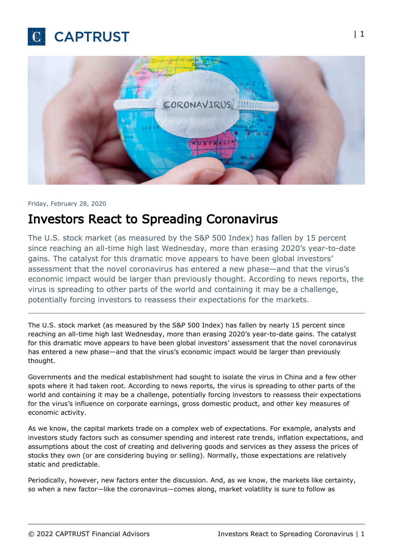



## Friday, February 28, 2020

## Investors React to Spreading Coronavirus

The U.S. stock market (as measured by the S&P 500 Index) has fallen by 15 percent since reaching an all-time high last Wednesday, more than erasing 2020's year-to-date gains. The catalyst for this dramatic move appears to have been global investors' assessment that the novel coronavirus has entered a new phase—and that the virus's economic impact would be larger than previously thought. According to news reports, the virus is spreading to other parts of the world and containing it may be a challenge, potentially forcing investors to reassess their expectations for the markets.

The U.S. stock market (as measured by the S&P 500 Index) has fallen by nearly 15 percent since reaching an all-time high last Wednesday, more than erasing 2020's year-to-date gains. The catalyst for this dramatic move appears to have been global investors' assessment that the novel coronavirus has entered a new phase—and that the virus's economic impact would be larger than previously thought.

Governments and the medical establishment had sought to isolate the virus in China and a few other spots where it had taken root. According to news reports, the virus is spreading to other parts of the world and containing it may be a challenge, potentially forcing investors to reassess their expectations for the virus's influence on corporate earnings, gross domestic product, and other key measures of economic activity.

As we know, the capital markets trade on a complex web of expectations. For example, analysts and investors study factors such as consumer spending and interest rate trends, inflation expectations, and assumptions about the cost of creating and delivering goods and services as they assess the prices of stocks they own (or are considering buying or selling). Normally, those expectations are relatively static and predictable.

Periodically, however, new factors enter the discussion. And, as we know, the markets like certainty, so when a new factor—like the coronavirus—comes along, market volatility is sure to follow as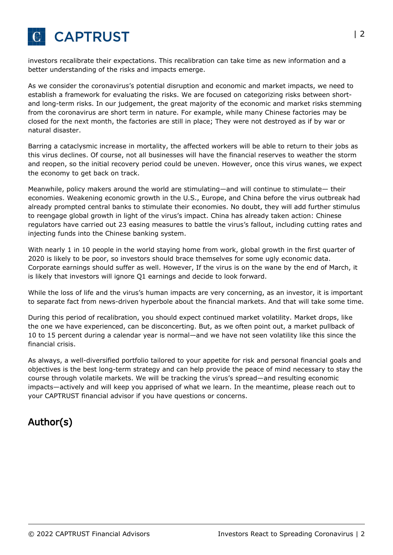

investors recalibrate their expectations. This recalibration can take time as new information and a better understanding of the risks and impacts emerge.

As we consider the coronavirus's potential disruption and economic and market impacts, we need to establish a framework for evaluating the risks. We are focused on categorizing risks between shortand long-term risks. In our judgement, the great majority of the economic and market risks stemming from the coronavirus are short term in nature. For example, while many Chinese factories may be closed for the next month, the factories are still in place; They were not destroyed as if by war or natural disaster.

Barring a cataclysmic increase in mortality, the affected workers will be able to return to their jobs as this virus declines. Of course, not all businesses will have the financial reserves to weather the storm and reopen, so the initial recovery period could be uneven. However, once this virus wanes, we expect the economy to get back on track.

Meanwhile, policy makers around the world are stimulating—and will continue to stimulate— their economies. Weakening economic growth in the U.S., Europe, and China before the virus outbreak had already prompted central banks to stimulate their economies. No doubt, they will add further stimulus to reengage global growth in light of the virus's impact. China has already taken action: Chinese regulators have carried out 23 easing measures to battle the virus's fallout, including cutting rates and injecting funds into the Chinese banking system.

With nearly 1 in 10 people in the world staying home from work, global growth in the first quarter of 2020 is likely to be poor, so investors should brace themselves for some ugly economic data. Corporate earnings should suffer as well. However, If the virus is on the wane by the end of March, it is likely that investors will ignore Q1 earnings and decide to look forward.

While the loss of life and the virus's human impacts are very concerning, as an investor, it is important to separate fact from news-driven hyperbole about the financial markets. And that will take some time.

During this period of recalibration, you should expect continued market volatility. Market drops, like the one we have experienced, can be disconcerting. But, as we often point out, a market pullback of 10 to 15 percent during a calendar year is normal—and we have not seen volatility like this since the financial crisis.

As always, a well-diversified portfolio tailored to your appetite for risk and personal financial goals and objectives is the best long-term strategy and can help provide the peace of mind necessary to stay the course through volatile markets. We will be tracking the virus's spread—and resulting economic impacts—actively and will keep you apprised of what we learn. In the meantime, please reach out to your CAPTRUST financial advisor if you have questions or concerns.

## Author(s)